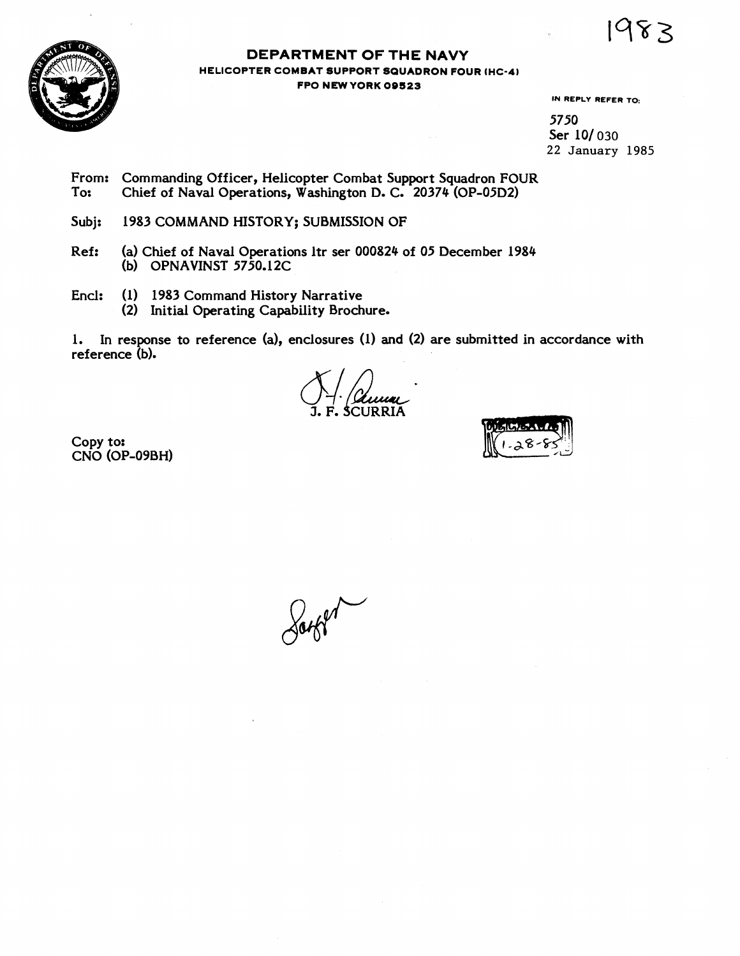1983



#### **DEPARTMENT OF THE NAVY HELICOPTER COMBAT SUPPORT SQUADRON FOUR IHC-41 FPO NEWYORK 09523**

**IN REPLY REFER TO:** 

5750 Ser 10/030 22 January **1985** 

From: Commanding Officer, Helicopter Combat Support Squadron FOUR<br>To: Chief of Naval Operations. Washington D. C. 20374 (OP-05D2) Chief of Naval Operations, Washington D. C. 20374 (OP-05D2)

Subj: 1983 COMMAND HISTORY; SUBMISSION OF

- Ref: (a) Chief of Naval Operations ltr ser 000824 of 05 December 1984 (b) OPNAVINST 5750.12C
- Encl: (1) 1983 Command History Narrative
	- **(2)** Initial Operating Capability Brochure.

**1.** In response to reference (a), enclosures (1) and **(2)** are submitted in accordance with

reference (b).<br>  $\begin{array}{c}\n\bigcup_{i=1}^{n} \bigcup_{x \in \mathcal{X}} \mathcal{L}_{i} \\
\text{S-1. F. SCURRIA}\n\end{array}$ 

Copy tor CNO (OP-09BH)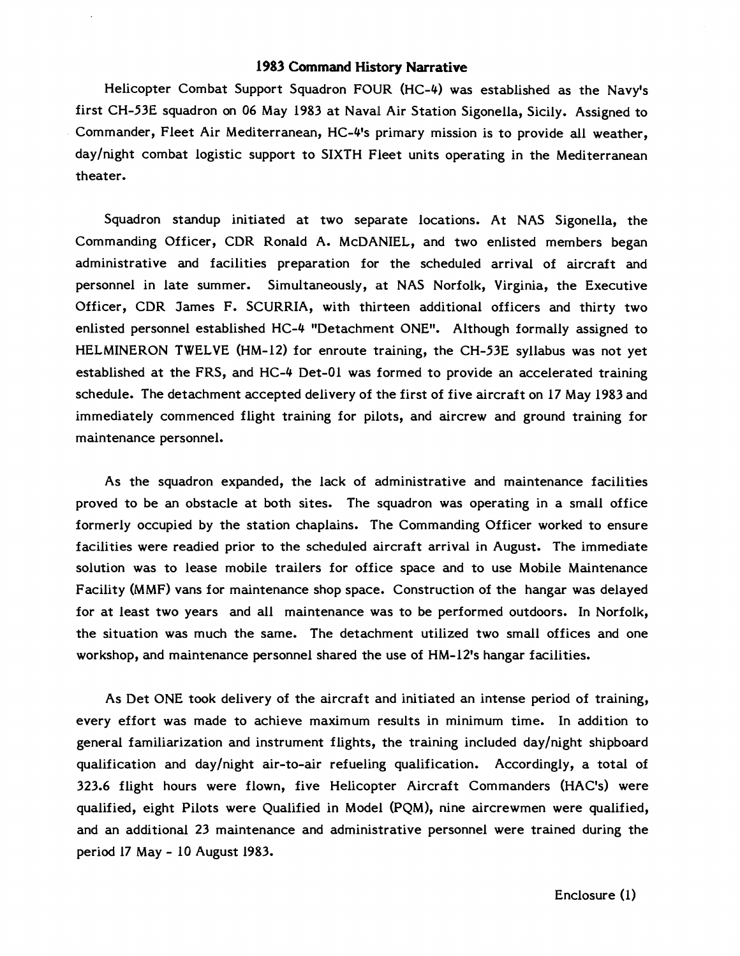#### **1983 Command History Narrative**

Helicopter Combat Support Squadron FOUR (HC-4) was established as the Navy's first CH-53E squadron on 06 May 1983 at Naval Air Station Sigonella, Sicily. Assigned to Commander, Fleet Air Mediterranean, HC-4's primary mission is to provide all weather, daylnight combat logistic support to SIXTH Fleet units operating in the Mediterranean theater.

Squadron standup initiated at two separate locations. At NAS Sigonella, the Commanding Officer, CDR Ronald A. McDANIEL, and two enlisted members began administrative and facilities preparation for the scheduled arrival of aircraft and personnel in late summer. Simultaneously, at NAS Norfolk, Virginia, the Executive Officer, CDR James F. SCURRIA, with thirteen additional officers and thirty two enlisted personnel established HC-4 "Detachment ONE1'. Although formally assigned to HELMINERON TWELVE (HM-12) for enroute training, the CH-53E syllabus was not yet established at the FRS, and HC-4 Det-01 was formed to provide an accelerated training schedule. The detachment accepted delivery of the first of five aircraft on 17 May 1983 and immediately commenced flight training for pilots, and aircrew and ground training for maintenance personnel.

As the squadron expanded, the lack of administrative and maintenance facilities proved to be an obstacle at both sites. The squadron was operating in a small office formerly occupied by the station chaplains. The Commanding Officer worked to ensure facilities were readied prior to the scheduled aircraft arrival in August. The immediate solution was to lease mobile trailers for office space and to use Mobile Maintenance Facility (MMF) vans for maintenance shop space. Construction of the hangar was delayed for at least two years and all maintenance was to be performed outdoors. In Norfolk, the situation was much the same. The detachment utilized two small offices and one workshop, and maintenance personnel shared the use of HM-12's hangar facilities.

As Det ONE took delivery of the aircraft and initiated an intense period of training, every effort was made to achieve maximum results in minimum time. In addition to general familiarization and instrument flights, the training included daylnight shipboard qualification and daylnight air-to-air refueling qualification. Accordingly, a total of 323.6 flight hours were flown, five Helicopter Aircraft Commanders (HAC's) were qualified, eight Pilots were Qualified in Model (PQM), nine aircrewmen were qualified, and an additional 23 maintenance and administrative personnel were trained during the period 17 May - 10 August 1983.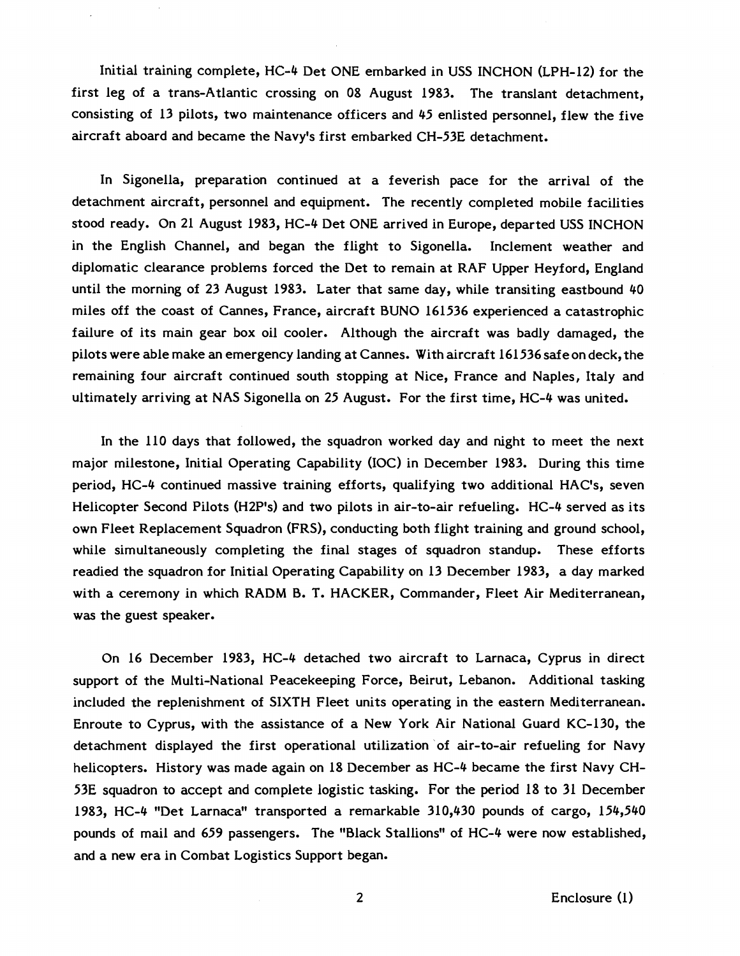lnitial training complete, HC-4 Det ONE ernbarked in USS INCHON (LPH-12) for the first leg of a trans-Atlantic crossing on 08 August 1983. The translant detachment, consisting of 13 pilots, two maintenance officers and 45 enlisted personnel, flew the five aircraft aboard and became the Navy's first embarked CH-53E detachment.

In Sigonella, preparation continued at a feverish pace for the arrival of the detachment aircraft, personnel and equipment. The recently completed mobile facilities stood ready. On 21 August 1983, HC-4 Det ONE arrived in Europe, departed USS INCHON in the English Channel, and began the flight to Sigonella. Inclement weather and diplomatic clearance problems forced the Det to remain at RAF Upper Heyford, England until the morning of 23 August 1983. Later that same day, while transiting eastbound 40 miles off the coast of Cannes, France, aircraft BUN0 161536 experienced a catastrophic failure of its main gear box oil cooler. Although the aircraft was badly damaged, the pilots were able make an emergency landing at Cannes. With aircraft 161 536 safe on deck, the remaining four aircraft continued south stopping at Nice, France and Naples, Italy and ultimately arriving at NAS Sigonella on 25 August. For the first time, HC-4 was united.

In the 110 days that followed, the squadron worked day and night to meet the next major milestone, Initial Operating Capability (IOC) in December 1983. During this time period, HC-4 continued massive training efforts, qualifying two additional HAC's, seven Helicopter Second Pilots (H2P's) and two pilots in air-to-air refueling. HC-4 served as its own Fleet Replacement Squadron (FRS), conducting both flight training and ground school, while simultaneously completing the final stages of squadron standup. These efforts readied the squadron for Initial Operating Capability on 13 December 1983, a day marked with a ceremony in which RADM B. T. HACKER, Commander, Fleet Air Mediterranean, was the guest speaker.

On 16 December 1983, HC-4 detached two aircraft to Larnaca, Cyprus in direct support of the Multi-National Peacekeeping Force, Beirut, Lebanon. Additional tasking included the replenishment of SIXTH Fleet units operating in the eastern Mediterranean. Enroute to Cyprus, with the assistance of a New York Air National Guard KC-130, the detachment displayed the first operational utilization of air-to-air refueling for Navy helicopters. History was made again on 18 December as HC-4 became the first Navy CH-**53E** squadron to accept and complete logistic tasking. For the period **18** to **31** December 1983, HC-4 "Det Larnaca" transported a remarkable 310,430 pounds of cargo, 154,540 pounds of mail and 659 passengers. The "Black Stallions" of HC-4 were now established, and a new era in Combat Logistics Support began.

 $\overline{2}$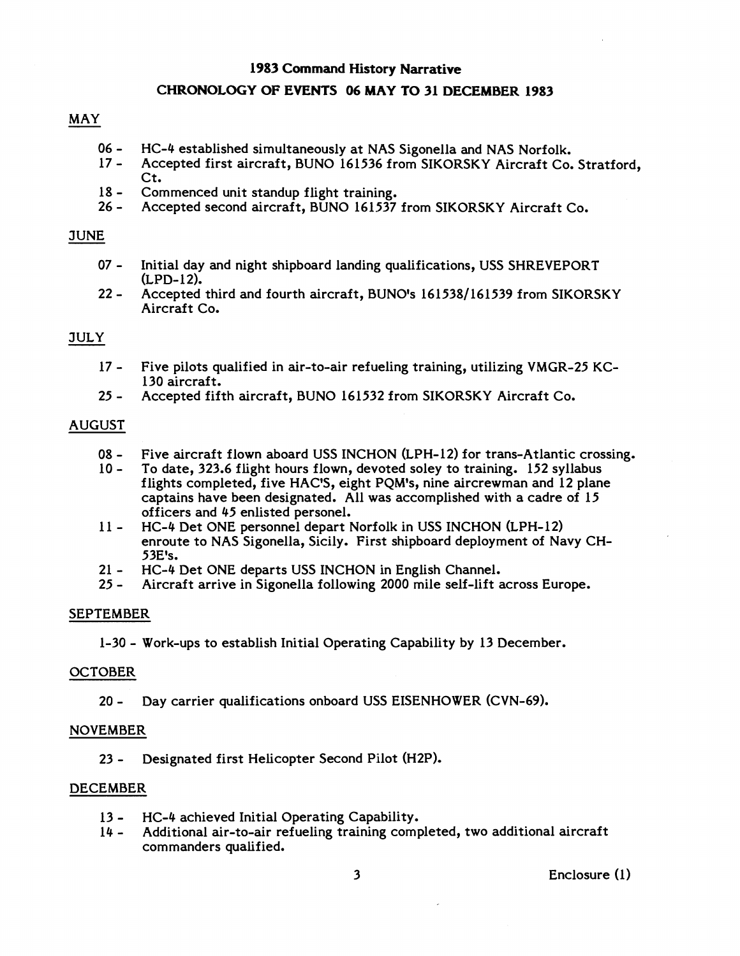#### **1983 Command** History **Narrative**

## **CHRONOLOGY OF EVENTS 06 MAY TO 31 DECEMBER 1983**

# MAY

- 06 HC-4 established simultaneously at NAS Sigonella and NAS Norfolk.<br>17 Accepted first aircraft. BUNO 161536 from SIKORSKY Aircraft Co.
- Accepted first aircraft, BUNO 161536 from SIKORSKY Aircraft Co. Stratford, Ct.
- 18 Commenced unit standup flight training.<br>26 Accepted second aircraft. BUNO 161537
- Accepted second aircraft, BUNO 161537 from SIKORSKY Aircraft Co.

## JUNE

- 07 Initial day and night shipboard landing qualifications, USS SHREVEPORT  $(LPD-12)$ .
- 22 Accepted third and fourth aircraft, BUNO's 161538/161539 from SIKORSKY Aircraft Co.

## JULY

- 17 Five pilots qualified in air-to-air refueling training, utilizing VMCR-25 KC-130 aircraft.
- 25 Accepted fifth aircraft, BUNO 161532 from SIKORSKY Aircraft Co.

## AUGUST

- 08 Five aircraft flown aboard USS INCHON (LPH-12) for trans-Atlantic crossing.<br>10 To date. 323.6 flight hours flown. devoted solev to training. 152 svllabus
- To date, 323.6 flight hours flown, devoted soley to training. 152 syllabus flights completed, five HAC'S, eight PQM's, nine aircrewman and 12 plane captains have been designated. All was accomplished with a cadre of 15 officers and 45 enlisted personel.
- 11 HC-4 Det ONE personnel depart Norfolk in USS INCHON (LPH-12) enroute to NAS Sigonella, Sicily. First shipboard deployment of Navy CH-53E's.
- 21 HC-4 Det ONE departs USS INCHON in English Channel.<br>25 Aircraft arrive in Sigonella following 2000 mile self-lift a
- Aircraft arrive in Sigonella following 2000 mile self-lift across Europe.

## SEPTEMBER

1-30 - Work-ups to establish Initial Operating Capability by 13 December.

## **OCTOBER**

20 - Day carrier qualifications onboard USS EISENHOWER (CVN-69).

#### NOVEMBER

23 - Designated first Helicopter Second Pilot (H2P).

#### DECEMBER

- 13 HC-4 achieved Initial Operating Capability.<br>14 Additional air-to-air refueling training comp
- Additional air-to-air refueling training completed, two additional aircraft commanders qualified.